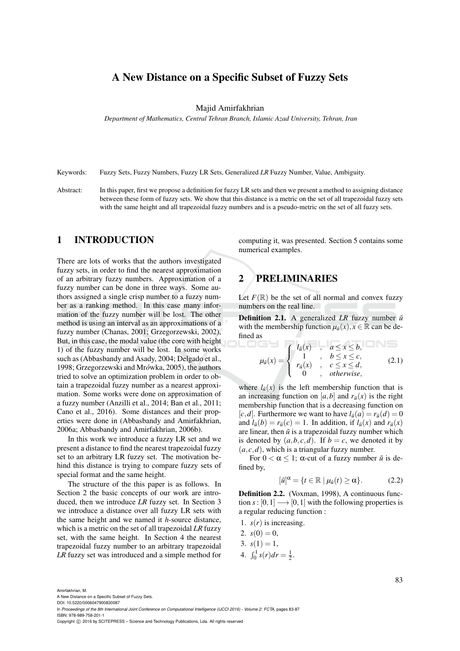# A New Distance on a Specific Subset of Fuzzy Sets

Majid Amirfakhrian

*Department of Mathematics, Central Tehran Branch, Islamic Azad University, Tehran, Iran*

Keywords: Fuzzy Sets, Fuzzy Numbers, Fuzzy LR Sets, Generalized *LR* Fuzzy Number, Value, Ambiguity.

Abstract: In this paper, first we propose a definition for fuzzy LR sets and then we present a method to assigning distance between these form of fuzzy sets. We show that this distance is a metric on the set of all trapezoidal fuzzy sets with the same height and all trapezoidal fuzzy numbers and is a pseudo-metric on the set of all fuzzy sets.

1 . . . . . . 1

#### 1 INTRODUCTION

There are lots of works that the authors investigated fuzzy sets, in order to find the nearest approximation of an arbitrary fuzzy numbers. Approximation of a fuzzy number can be done in three ways. Some authors assigned a single crisp number to a fuzzy number as a ranking method. In this case many information of the fuzzy number will be lost. The other method is using an interval as an approximations of a fuzzy number (Chanas, 2001; Grzegorzewski, 2002), But, in this case, the modal value (the core with height 1) of the fuzzy number will be lost. In some works such as (Abbasbandy and Asady, 2004; Delgado et al., 1998; Grzegorzewski and Mrówka, 2005), the authors tried to solve an optimization problem in order to obtain a trapezoidal fuzzy number as a nearest approximation. Some works were done on approximation of a fuzzy number (Anzilli et al., 2014; Ban et al., 2011; Cano et al., 2016). Some distances and their properties were done in (Abbasbandy and Amirfakhrian, 2006a; Abbasbandy and Amirfakhrian, 2006b).

In this work we introduce a fuzzy LR set and we present a distance to find the nearest trapezoidal fuzzy set to an arbitrary LR fuzzy set. The motivation behind this distance is trying to compare fuzzy sets of special format and the same height.

The structure of the this paper is as follows. In Section 2 the basic concepts of our work are introduced, then we introduce *LR* fuzzy set. In Section 3 we introduce a distance over all fuzzy LR sets with the same height and we named it *h*-source distance, which is a metric on the set of all trapezoidal *LR* fuzzy set, with the same height. In Section 4 the nearest trapezoidal fuzzy number to an arbitrary trapezoidal *LR* fuzzy set was introduced and a simple method for computing it, was presented. Section 5 contains some numerical examples.

# 2 PRELIMINARIES

Let  $F(\mathbb{R})$  be the set of all normal and convex fuzzy numbers on the real line.

**Definition 2.1.** A generalized *LR* fuzzy number  $\tilde{u}$ with the membership function  $\mu_{\tilde{u}}(x), x \in \mathbb{R}$  can be defined as

$$
\mu_{\tilde{u}}(x) = \begin{cases} l_{\tilde{u}}(x) & , \quad a \le x \le b, \\ 1 & , \quad b \le x \le c, \\ r_{\tilde{u}}(x) & , \quad c \le x \le d, \\ 0 & , \quad otherwise, \end{cases} \tag{2.1}
$$

where  $l_{\tilde{u}}(x)$  is the left membership function that is an increasing function on [a, b] and  $r_{\tilde{u}}(x)$  is the right membership function that is a decreasing function on  $[c,d]$ . Furthermore we want to have  $l_{\tilde{u}}(a) = r_{\tilde{u}}(d) = 0$ and  $l_{\tilde{u}}(b) = r_{\tilde{u}}(c) = 1$ . In addition, if  $l_{\tilde{u}}(x)$  and  $r_{\tilde{u}}(x)$ are linear, then  $\tilde{u}$  is a trapezoidal fuzzy number which is denoted by  $(a, b, c, d)$ . If  $b = c$ , we denoted it by  $(a, c, d)$ , which is a triangular fuzzy number.

For  $0 < \alpha \leq 1$ ;  $\alpha$ -cut of a fuzzy number  $\tilde{u}$  is defined by,

$$
[\tilde{u}]^{\alpha} = \{t \in \mathbb{R} \mid \mu_{\tilde{u}}(t) \ge \alpha\}.
$$
 (2.2)

Definition 2.2. (Voxman, 1998), A continuous function  $s: [0,1] \longrightarrow [0,1]$  with the following properties is a regular reducing function :

- 1.  $s(r)$  is increasing.
- 2.  $s(0) = 0$ ,
- 3.  $s(1) = 1$ ,
- 4.  $\int_0^1 s(r) dr = \frac{1}{2}$ .

A New Distance on a Specific Subset of Fuzzy Sets. DOI: 10.5220/0006047900830087

In *Proceedings of the 8th International Joint Conference on Computational Intelligence (IJCCI 2016) - Volume 2: FCTA*, pages 83-87 ISBN: 978-989-758-201-1

Amirfakhrian, M.

Copyright (C) 2016 by SCITEPRESS - Science and Technology Publications, Lda. All rights reserved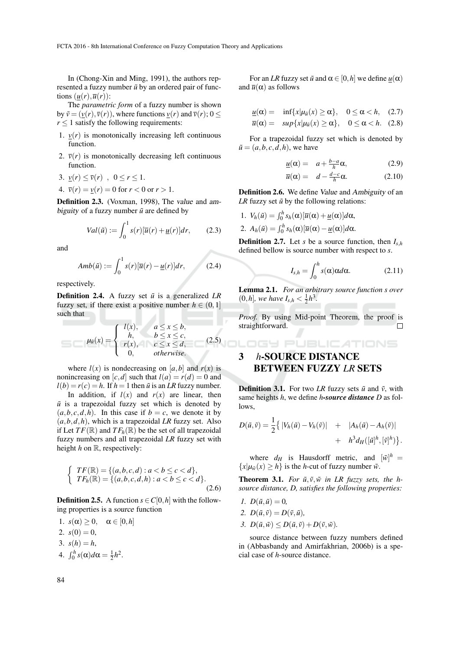In (Chong-Xin and Ming, 1991), the authors represented a fuzzy number  $\tilde{u}$  by an ordered pair of functions  $(\underline{u}(r), \overline{u}(r))$ :

The *parametric form* of a fuzzy number is shown by  $\tilde{v} = (v(r), \overline{v}(r))$ , where functions  $v(r)$  and  $\overline{v}(r)$ ;  $0 \le$  $r \leq 1$  satisfy the following requirements:

- 1.  $v(r)$  is monotonically increasing left continuous function.
- 2.  $\bar{v}(r)$  is monotonically decreasing left continuous function.
- 3.  $v(r) \leq \overline{v}(r)$ ,  $0 \leq r \leq 1$ .
- 4.  $\bar{v}(r) = v(r) = 0$  for  $r < 0$  or  $r > 1$ .

Definition 2.3. (Voxman, 1998), The value and ambiguity of a fuzzy number  $\tilde{u}$  are defined by

$$
Val(\tilde{u}) := \int_0^1 s(r)[\overline{u}(r) + \underline{u}(r)]dr, \qquad (2.3)
$$

and

$$
Amb(\tilde{u}) := \int_0^1 s(r)[\overline{u}(r) - \underline{u}(r)]dr, \qquad (2.4)
$$

respectively.

**Definition 2.4.** A fuzzy set  $\tilde{u}$  is a generalized *LR* fuzzy set, if there exist a positive number  $h \in (0,1]$ such that

$$
\mu_{\tilde{u}}(x) = \begin{cases} l(x), & a \le x \le b, \\ h, & b \le x \le c, \\ r(x), & c \le x \le d, \\ 0, & otherwise. \end{cases}
$$
 straightforward.

where  $l(x)$  is nondecreasing on [a, b] and  $r(x)$  is nonincreasing on  $[c,d]$  such that  $l(a) = r(d) = 0$  and  $l(b) = r(c) = h$ . If  $h = 1$  then  $\tilde{u}$  is an *LR* fuzzy number.

In addition, if  $l(x)$  and  $r(x)$  are linear, then  $\tilde{u}$  is a trapezoidal fuzzy set which is denoted by  $(a, b, c, d, h)$ . In this case if  $b = c$ , we denote it by  $(a, b, d, h)$ , which is a trapezoidal *LR* fuzzy set. Also if Let  $TF(\mathbb{R})$  and  $TF_h(\mathbb{R})$  be the set of all trapezoidal fuzzy numbers and all trapezoidal *LR* fuzzy set with height *h* on R, respectively:

$$
\begin{cases}\nTF(\mathbb{R}) = \{(a, b, c, d) : a < b \le c < d\}, \\
TF_h(\mathbb{R}) = \{(a, b, c, d, h) : a < b \le c < d\}.\n\end{cases}
$$
\n(2.6)

**Definition 2.5.** A function  $s \in C[0, h]$  with the following properties is a source function

1.  $s(\alpha) \geq 0$ ,  $\alpha \in [0, h]$ 2.  $s(0) = 0$ , 3.  $s(h) = h$ , 4.  $\int_0^h s(\alpha) d\alpha = \frac{1}{2}h^2$ .

For an *LR* fuzzy set  $\tilde{u}$  and  $\alpha \in [0, h]$  we define  $\underline{u}(\alpha)$ and  $\bar{u}(\alpha)$  as follows

$$
\underline{u}(\alpha) = \inf \{ x | \mu_{\bar{u}}(x) \ge \alpha \}, \quad 0 \le \alpha < h, \quad (2.7)
$$
  

$$
\overline{u}(\alpha) = \sup \{ x | \mu_{\bar{u}}(x) \ge \alpha \}, \quad 0 \le \alpha < h. \quad (2.8)
$$

For a trapezoidal fuzzy set which is denoted by  $\tilde{u} = (a, b, c, d, h)$ , we have

$$
\underline{u}(\alpha) = a + \frac{b-a}{h}\alpha,\tag{2.9}
$$

$$
\overline{u}(\alpha) = d - \frac{d-c}{h}\alpha. \tag{2.10}
$$

Definition 2.6. We define Value and Ambiguity of an *LR* fuzzy set  $\tilde{u}$  by the following relations:

1. 
$$
V_h(\tilde{u}) = \int_0^h s_h(\alpha) [\overline{u}(\alpha) + \underline{u}(\alpha)] d\alpha,
$$

2.  $A_h(\tilde{u}) = \int_0^h s_h(\alpha) [\overline{u}(\alpha) - \underline{u}(\alpha)] d\alpha.$ 

**Definition 2.7.** Let *s* be a source function, then  $I_{s,h}$ defined bellow is source number with respect to *s*.

$$
I_{s,h} = \int_0^h s(\alpha) \alpha d\alpha. \tag{2.11}
$$

Lemma 2.1. *For an arbitrary source function s over*  $(0,h]$ *, we have*  $I_{s,h} < \frac{1}{2}h^3$ *.* 

*Proof.* By using Mid-point Theorem, the proof is straightforward. П

# 3 *h*-SOURCE DISTANCE BETWEEN FUZZY *LR* SETS

**Definition 3.1.** For two *LR* fuzzy sets  $\tilde{u}$  and  $\tilde{v}$ , with same heights *h*, we define *h-source distance D* as follows,

$$
D(\tilde{u}, \tilde{v}) = \frac{1}{2} \left\{ |V_h(\tilde{u}) - V_h(\tilde{v})| + |A_h(\tilde{u}) - A_h(\tilde{v})| + h^3 d_H([\tilde{u}]^h, [\tilde{v}]^h) \right\}.
$$

where  $d_H$  is Hausdorff metric, and  $[\tilde{w}]^h$  =  ${x|\mu_{\tilde{w}}(x) \geq h}$  is the *h*-cut of fuzzy number  $\tilde{w}$ .

**Theorem 3.1.** For  $\tilde{u}, \tilde{v}, \tilde{w}$  in LR fuzzy sets, the h*source distance, D, satisfies the following properties:*

- *1.*  $D(\tilde{u}, \tilde{u}) = 0$ ,
- 2.  $D(\tilde{u}, \tilde{v}) = D(\tilde{v}, \tilde{u})$ ,
- *3.*  $D(\tilde{u}, \tilde{w}) \leq D(\tilde{u}, \tilde{v}) + D(\tilde{v}, \tilde{w}).$

source distance between fuzzy numbers defined in (Abbasbandy and Amirfakhrian, 2006b) is a special case of *h*-source distance.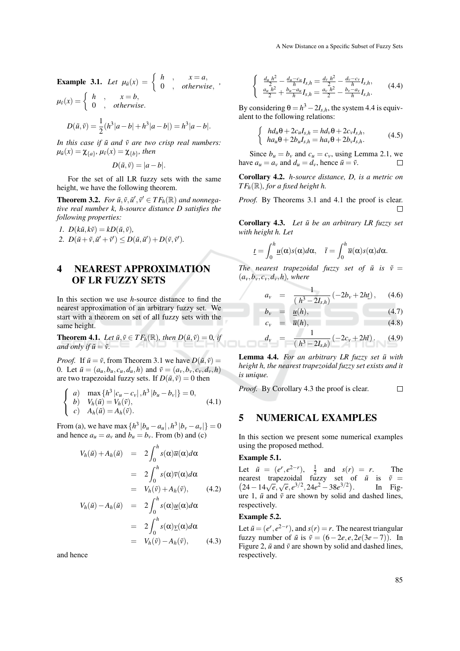**Example 3.1.** Let  $\mu_{\tilde{u}}(x) = \begin{cases} h & x = a, \\ 0 & otherwise \end{cases}$  $\begin{array}{c} n \rightarrow \infty - a, \\ 0 \rightarrow \text{otherwise}, \end{array}$  $\mu_{\tilde{v}}(x) = \begin{cases} h \\ 0 \end{cases}$ ,  $\begin{array}{c} x = b, \\ 0 \end{array}$ 0 , *otherwise*.

$$
D(\tilde{u}, \tilde{v}) = \frac{1}{2}(h^3|a-b|+h^3|a-b|) = h^3|a-b|.
$$

*In this case if*  $\tilde{u}$  *and*  $\tilde{v}$  *are two crisp real numbers:*  $\mu_{\tilde{u}}(x) = \chi_{\{a\}}$ ,  $\mu_{\tilde{v}}(x) = \chi_{\{b\}}$ , then

$$
D(\tilde{u}, \tilde{v}) = |a - b|.
$$

For the set of all LR fuzzy sets with the same height, we have the following theorem.

**Theorem 3.2.** *For*  $\tilde{u}, \tilde{v}, \tilde{u}', \tilde{v}' \in TF_h(\mathbb{R})$  *and nonnegative real number k, h-source distance D satisfies the following properties:*

$$
I. D(k\tilde{u}, k\tilde{v}) = kD(\tilde{u}, \tilde{v}),
$$

2.  $D(\tilde{u} + \tilde{v}, \tilde{u}' + \tilde{v}') \leq D(\tilde{u}, \tilde{u}') + D(\tilde{v}, \tilde{v}').$ 

## 4 NEAREST APPROXIMATION OF LR FUZZY SETS

In this section we use *h*-source distance to find the nearest approximation of an arbitrary fuzzy set. We start with a theorem on set of all fuzzy sets with the same height.

**Theorem 4.1.** *Let*  $\tilde{u}, \tilde{v} \in TF_h(\mathbb{R})$ *, then*  $D(\tilde{u}, \tilde{v}) = 0$ *, if and only if*  $\tilde{u} = \tilde{v}$ .

*Proof.* If  $\tilde{u} = \tilde{v}$ , from Theorem 3.1 we have  $D(\tilde{u}, \tilde{v}) =$ 0. Let  $\tilde{u} = (a_u, b_u, c_u, d_u, h)$  and  $\tilde{v} = (a_v, b_v, c_v, d_v, h)$ are two trapezoidal fuzzy sets. If  $D(\tilde{u}, \tilde{v}) = 0$  then

$$
\begin{cases}\n a) \quad \max\{h^3 |c_u - c_v|, h^3 |b_u - b_v|\} = 0, \\
 b) \quad V_h(\tilde{u}) = V_h(\tilde{v}), \\
 c) \quad A_h(\tilde{u}) = A_h(\tilde{v}).\n\end{cases} \tag{4.1}
$$

From (a), we have max  $\{h^3 | b_u - a_u |, h^3 | b_v - a_v | \} = 0$ and hence  $a_u = a_v$  and  $b_u = b_v$ . From (b) and (c)

$$
V_h(\tilde{u}) + A_h(\tilde{u}) = 2 \int_0^h s(\alpha) \overline{u}(\alpha) d\alpha
$$
  
\n
$$
= 2 \int_0^h s(\alpha) \overline{v}(\alpha) d\alpha
$$
  
\n
$$
= V_h(\tilde{v}) + A_h(\tilde{v}), \qquad (4.2)
$$
  
\n
$$
V_h(\tilde{u}) - A_h(\tilde{u}) = 2 \int_0^h s(\alpha) \underline{u}(\alpha) d\alpha
$$
  
\n
$$
= 2 \int_0^h s(\alpha) \underline{v}(\alpha) d\alpha
$$
  
\n
$$
= V_h(\tilde{v}) - A_h(\tilde{v}), \qquad (4.3)
$$

and hence

$$
\begin{cases} \frac{d_u h^2}{2} - \frac{d_u - c_u}{h} I_{s,h} = \frac{d_v h^2}{2} - \frac{d_v - c_v}{h} I_{s,h},\\ \frac{a_u h^2}{2} + \frac{b_u - a_u}{h} I_{s,h} = \frac{a_v h^2}{2} - \frac{b_v - a_v}{h} I_{s,h}. \end{cases} (4.4)
$$

By considering  $\theta = h^3 - 2I_{s,h}$ , the system 4.4 is equivalent to the following relations:

$$
\begin{cases}\n h d_u \theta + 2c_u I_{s,h} = h d_v \theta + 2c_v I_{s,h}, \\
 h a_u \theta + 2b_u I_{s,h} = h a_v \theta + 2b_v I_{s,h}.\n\end{cases} \tag{4.5}
$$

Since  $b_u = b_v$  and  $c_u = c_v$ , using Lemma 2.1, we have  $a_u = a_v$  and  $d_u = d_v$ , hence  $\tilde{u} = \tilde{v}$ .  $\Box$ 

Corollary 4.2. *h-source distance, D, is a metric on*  $TF_h(\mathbb{R})$ *, for a fixed height h.* 

*Proof.* By Theorems 3.1 and 4.1 the proof is clear.  $\Box$ 

Corollary 4.3. Let  $\tilde{u}$  be an arbitrary LR fuzzy set *with height h. Let*

$$
\underline{t} = \int_0^h \underline{u}(\alpha)s(\alpha)d\alpha, \quad \overline{t} = \int_0^h \overline{u}(\alpha)s(\alpha)d\alpha.
$$

*The nearest trapezoidal fuzzy set of*  $\tilde{u}$  *is*  $\tilde{v}$  =  $(a_v, b_v, c_v, d_v, h)$ , where

$$
a_{v} = \frac{1}{(h^3 - 2I_{s,h})} (-2b_{v} + 2h_{t}), \quad (4.6)
$$

$$
b_v = \underline{u}(h),
$$
  
\n
$$
c_v = \overline{u}(h),
$$
\n(4.7)

$$
d_{v} = \frac{1}{(h^3 - 2I_{s,h})} (-2c_{v} + 2h\bar{t}). \quad (4.9)
$$

Lemma 4.4. For an arbitrary LR fuzzy set  $\tilde{u}$  with *height h, the nearest trapezoidal fuzzy set exists and it is unique.*

*Proof.* By Corollary 4.3 the proof is clear.  $\Box$ 

### 5 NUMERICAL EXAMPLES

In this section we present some numerical examples using the proposed method.

#### Example 5.1.

Let  $\tilde{u} = (e^r, e^{2-r}), \frac{1}{2}$  and  $s(r) = r.$  The  $(24-14\sqrt{e}, \sqrt{e}, e^{3/2}, 24e^2-38e^{3/2})$ nearest trapezoidal fuzzy set of  $\tilde{u}$  is  $\tilde{v}$  = . In Figure 1,  $\tilde{u}$  and  $\tilde{v}$  are shown by solid and dashed lines, respectively.

#### Example 5.2.

Let  $\tilde{u} = (e^r, e^{2-r})$ , and  $s(r) = r$ . The nearest triangular fuzzy number of  $\tilde{u}$  is  $\tilde{v} = (6-2e, e, 2e(3e-7))$ . In Figure 2,  $\tilde{u}$  and  $\tilde{v}$  are shown by solid and dashed lines, respectively.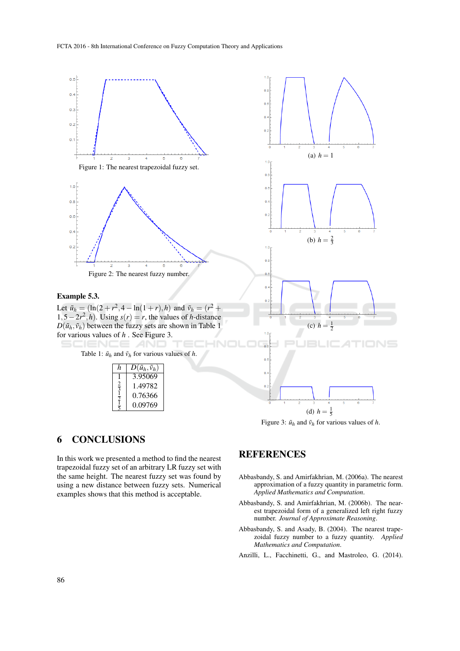

Figure 3:  $\tilde{u}_h$  and  $\tilde{v}_h$  for various values of *h*.

## 6 CONCLUSIONS

In this work we presented a method to find the nearest trapezoidal fuzzy set of an arbitrary LR fuzzy set with the same height. The nearest fuzzy set was found by using a new distance between fuzzy sets. Numerical examples shows that this method is acceptable.

## **REFERENCES**

- Abbasbandy, S. and Amirfakhrian, M. (2006a). The nearest approximation of a fuzzy quantity in parametric form. *Applied Mathematics and Computation*.
- Abbasbandy, S. and Amirfakhrian, M. (2006b). The nearest trapezoidal form of a generalized left right fuzzy number. *Journal of Approximate Reasoning*.
- Abbasbandy, S. and Asady, B. (2004). The nearest trapezoidal fuzzy number to a fuzzy quantity. *Applied Mathematics and Computation*.

Anzilli, L., Facchinetti, G., and Mastroleo, G. (2014).